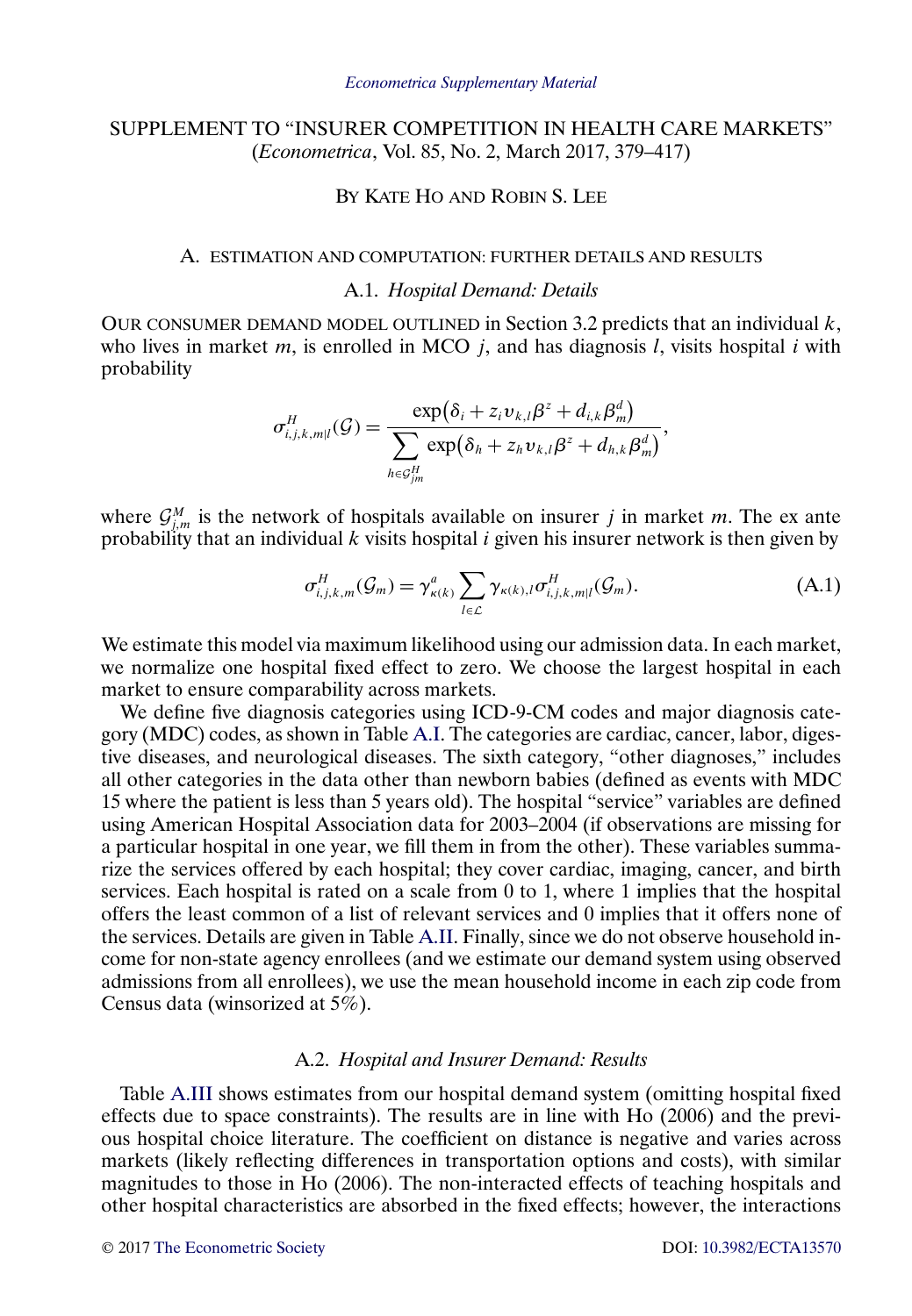# <span id="page-0-0"></span>SUPPLEMENT TO "INSURER COMPETITION IN HEALTH CARE MARKETS" (*Econometrica*, Vol. 85, No. 2, March 2017, 379–417)

## BY KATE HO AND ROBIN S. LEE

## A. ESTIMATION AND COMPUTATION: FURTHER DETAILS AND RESULTS

## A.1. *Hospital Demand: Details*

OUR CONSUMER DEMAND MODEL OUTLINED in Section 3.2 predicts that an individual  $k$ , who lives in market m, is enrolled in MCO  $j$ , and has diagnosis l, visits hospital i with probability

$$
\sigma_{i,j,k,m|l}^H(\mathcal{G}) = \frac{\exp(\delta_i + z_i v_{k,l} \beta^z + d_{i,k} \beta_m^d)}{\sum_{h \in \mathcal{G}_{jm}^H} \exp(\delta_h + z_h v_{k,l} \beta^z + d_{h,k} \beta_m^d)},
$$

where  $\mathcal{G}_{j,m}^M$  is the network of hospitals available on insurer j in market m. The ex ante probability that an individual k visits hospital i given his insurer network is then given by

$$
\sigma_{i,j,k,m}^H(\mathcal{G}_m) = \gamma_{\kappa(k)}^a \sum_{l \in \mathcal{L}} \gamma_{\kappa(k),l} \sigma_{i,j,k,m|l}^H(\mathcal{G}_m).
$$
(A.1)

We estimate this model via maximum likelihood using our admission data. In each market, we normalize one hospital fixed effect to zero. We choose the largest hospital in each market to ensure comparability across markets.

We define five diagnosis categories using ICD-9-CM codes and major diagnosis category (MDC) codes, as shown in Table [A.I.](#page-1-0) The categories are cardiac, cancer, labor, digestive diseases, and neurological diseases. The sixth category, "other diagnoses," includes all other categories in the data other than newborn babies (defined as events with MDC 15 where the patient is less than 5 years old). The hospital "service" variables are defined using American Hospital Association data for 2003–2004 (if observations are missing for a particular hospital in one year, we fill them in from the other). These variables summarize the services offered by each hospital; they cover cardiac, imaging, cancer, and birth services. Each hospital is rated on a scale from 0 to 1, where 1 implies that the hospital offers the least common of a list of relevant services and 0 implies that it offers none of the services. Details are given in Table [A.II.](#page-1-0) Finally, since we do not observe household income for non-state agency enrollees (and we estimate our demand system using observed admissions from all enrollees), we use the mean household income in each zip code from Census data (winsorized at 5%).

#### A.2. *Hospital and Insurer Demand: Results*

Table [A.III](#page-2-0) shows estimates from our hospital demand system (omitting hospital fixed effects due to space constraints). The results are in line with Ho (2006) and the previous hospital choice literature. The coefficient on distance is negative and varies across markets (likely reflecting differences in transportation options and costs), with similar magnitudes to those in Ho (2006). The non-interacted effects of teaching hospitals and other hospital characteristics are absorbed in the fixed effects; however, the interactions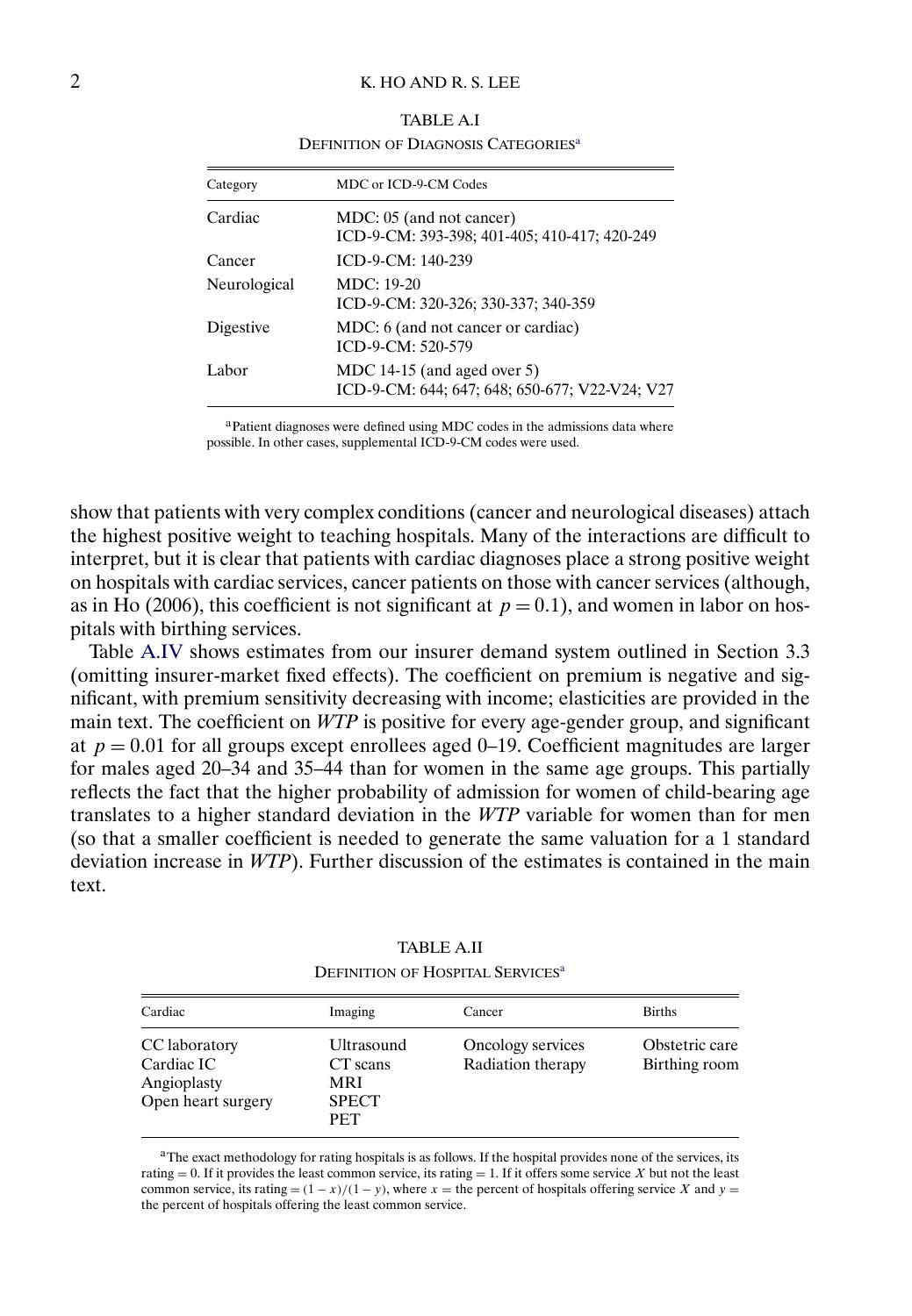## <span id="page-1-0"></span>2 K. HO AND R. S. LEE

| Category     | MDC or ICD-9-CM Codes                                                         |
|--------------|-------------------------------------------------------------------------------|
| Cardiac      | MDC: 05 (and not cancer)<br>ICD-9-CM: 393-398; 401-405; 410-417; 420-249      |
| Cancer       | $ICD-9-CM: 140-239$                                                           |
| Neurological | $MDC: 19-20$<br>ICD-9-CM: 320-326; 330-337; 340-359                           |
| Digestive    | MDC: 6 (and not cancer or cardiac)<br>ICD-9-CM: 520-579                       |
| Labor        | MDC 14-15 (and aged over 5)<br>ICD-9-CM: 644; 647; 648; 650-677; V22-V24; V27 |

TABLE A.I DEFINITION OF DIAGNOSIS CATEGORIES<sup>a</sup>

aPatient diagnoses were defined using MDC codes in the admissions data where possible. In other cases, supplemental ICD-9-CM codes were used.

show that patients with very complex conditions (cancer and neurological diseases) attach the highest positive weight to teaching hospitals. Many of the interactions are difficult to interpret, but it is clear that patients with cardiac diagnoses place a strong positive weight on hospitals with cardiac services, cancer patients on those with cancer services (although, as in Ho (2006), this coefficient is not significant at  $p = 0.1$ ), and women in labor on hospitals with birthing services.

Table [A.IV](#page-3-0) shows estimates from our insurer demand system outlined in Section 3.3 (omitting insurer-market fixed effects). The coefficient on premium is negative and significant, with premium sensitivity decreasing with income; elasticities are provided in the main text. The coefficient on *WTP* is positive for every age-gender group, and significant at  $p = 0.01$  for all groups except enrollees aged 0–19. Coefficient magnitudes are larger for males aged 20–34 and 35–44 than for women in the same age groups. This partially reflects the fact that the higher probability of admission for women of child-bearing age translates to a higher standard deviation in the *WTP* variable for women than for men (so that a smaller coefficient is needed to generate the same valuation for a 1 standard deviation increase in *WTP*). Further discussion of the estimates is contained in the main text.

| Cardiac                                                          | Imaging                                                            | Cancer                                 | <b>Births</b>                   |
|------------------------------------------------------------------|--------------------------------------------------------------------|----------------------------------------|---------------------------------|
| CC laboratory<br>Cardiac IC<br>Angioplasty<br>Open heart surgery | Ultrasound<br>CT scans<br><b>MRI</b><br><b>SPECT</b><br><b>PET</b> | Oncology services<br>Radiation therapy | Obstetric care<br>Birthing room |

TABLE A.II DEFINITION OF HOSPITAL SERVICES<sup>a</sup>

<sup>a</sup>The exact methodology for rating hospitals is as follows. If the hospital provides none of the services, its rating  $= 0$ . If it provides the least common service, its rating  $= 1$ . If it offers some service X but not the least common service, its rating =  $(1 - x)/(1 - y)$ , where x = the percent of hospitals offering service X and y = the percent of hospitals offering the least common service.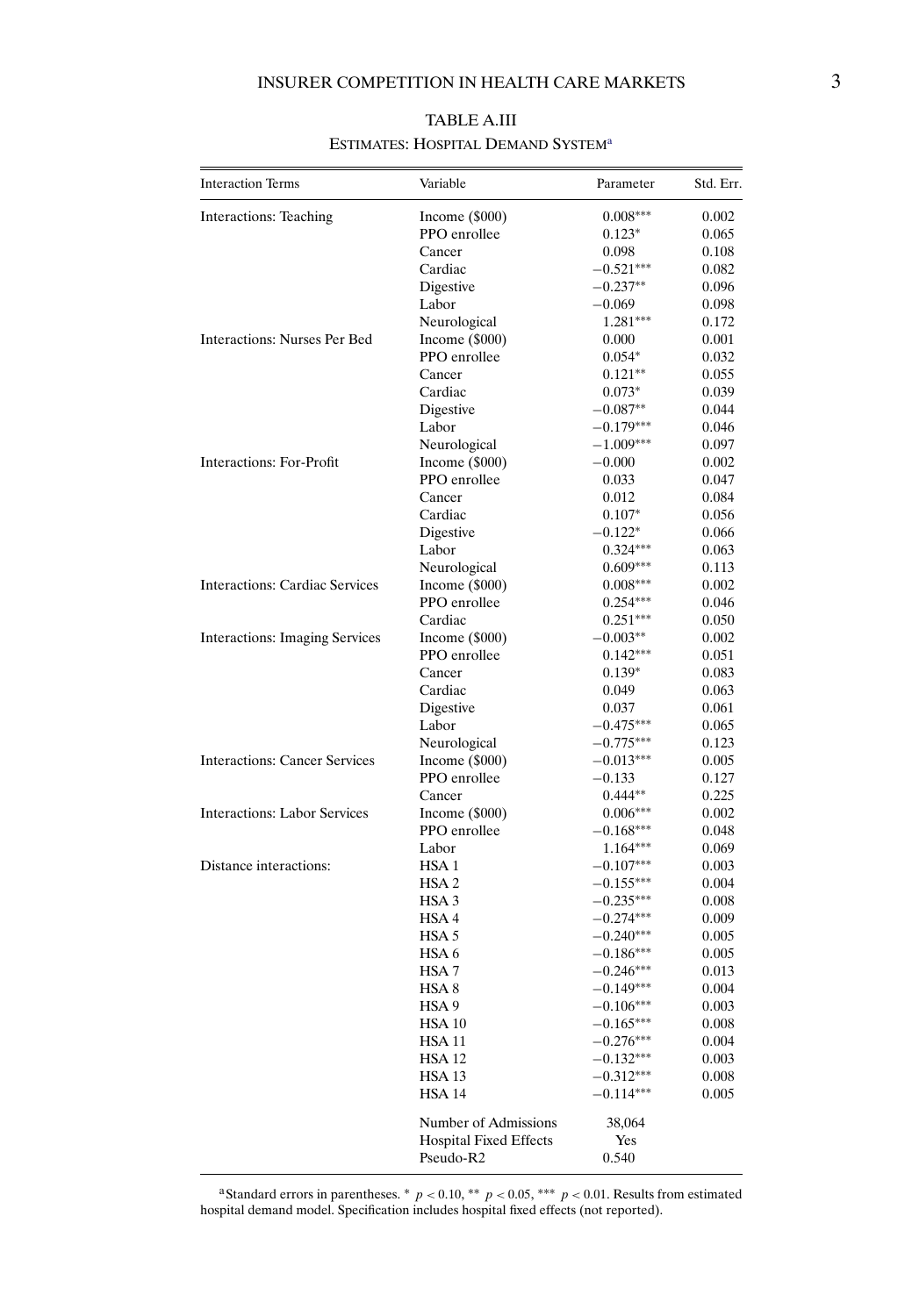<span id="page-2-0"></span>

| <b>Interaction Terms</b>              | Variable                      | Parameter                  | Std. Err.      |
|---------------------------------------|-------------------------------|----------------------------|----------------|
| Interactions: Teaching                | Income $(\$000)$              | $0.008***$                 | 0.002          |
|                                       | PPO enrollee                  | $0.123*$                   | 0.065          |
|                                       | Cancer                        | 0.098                      | 0.108          |
|                                       | Cardiac                       | $-0.521***$                | 0.082          |
|                                       | Digestive                     | $-0.237**$                 | 0.096          |
|                                       | Labor                         | $-0.069$                   | 0.098          |
|                                       | Neurological                  | 1.281***                   | 0.172          |
| <b>Interactions: Nurses Per Bed</b>   | Income $(\$000)$              | 0.000                      | 0.001          |
|                                       | PPO enrollee                  | $0.054*$                   | 0.032          |
|                                       | Cancer                        | $0.121**$                  | 0.055          |
|                                       | Cardiac                       | $0.073*$                   | 0.039          |
|                                       | Digestive                     | $-0.087**$                 | 0.044          |
|                                       | Labor                         | $-0.179***$                | 0.046          |
|                                       | Neurological                  | $-1.009***$                | 0.097          |
| Interactions: For-Profit              | Income (\$000)                | $-0.000$                   | 0.002          |
|                                       | PPO enrollee                  | 0.033                      | 0.047          |
|                                       | Cancer                        | 0.012                      | 0.084          |
|                                       | Cardiac                       | $0.107*$                   | 0.056          |
|                                       | Digestive                     | $-0.122*$                  | 0.066          |
|                                       | Labor                         | $0.324***$                 | 0.063          |
|                                       | Neurological                  | $0.609***$                 | 0.113          |
| <b>Interactions: Cardiac Services</b> | Income $(\$000)$              | $0.008***$                 | 0.002          |
|                                       | PPO enrollee                  | $0.254***$                 | 0.046          |
|                                       | Cardiac                       | $0.251***$                 | 0.050          |
| <b>Interactions: Imaging Services</b> | Income $(\$000)$              | $-0.003**$                 | 0.002          |
|                                       | PPO enrollee                  | $0.142***$                 | 0.051          |
|                                       | Cancer                        | $0.139*$                   | 0.083          |
|                                       | Cardiac                       | 0.049                      | 0.063          |
|                                       | Digestive                     | 0.037                      | 0.061          |
|                                       | Labor                         | $-0.475***$                | 0.065          |
|                                       | Neurological                  | $-0.775***$                | 0.123          |
| <b>Interactions: Cancer Services</b>  | Income $(\$000)$              | $-0.013***$                | 0.005          |
|                                       | PPO enrollee                  | $-0.133$                   | 0.127          |
|                                       | Cancer                        | $0.444**$                  | 0.225          |
| <b>Interactions: Labor Services</b>   | Income $(\$000)$              | $0.006***$                 | 0.002          |
|                                       | PPO enrollee                  | $-0.168***$                | 0.048          |
|                                       | Labor                         | $1.164***$                 | 0.069          |
| Distance interactions:                | HSA <sub>1</sub>              | $-0.107***$                | 0.003          |
|                                       | HSA <sub>2</sub>              | $-0.155***$                | 0.004          |
|                                       | HSA <sub>3</sub>              | $-0.235***$                | 0.008          |
|                                       | HSA <sub>4</sub>              | $-0.274***$                | 0.009          |
|                                       | HSA 5                         | $-0.240***$                | 0.005          |
|                                       | HSA 6                         | $-0.186***$                | 0.005          |
|                                       | HSA 7<br>HSA <sub>8</sub>     | $-0.246***$                | 0.013          |
|                                       |                               | $-0.149***$                | 0.004          |
|                                       | HSA 9                         | $-0.106***$                | 0.003          |
|                                       | HSA 10<br><b>HSA 11</b>       | $-0.165***$<br>$-0.276***$ | 0.008<br>0.004 |
|                                       | <b>HSA 12</b>                 | $-0.132***$                | 0.003          |
|                                       | <b>HSA 13</b>                 | $-0.312***$                | 0.008          |
|                                       | <b>HSA 14</b>                 | $-0.114***$                | 0.005          |
|                                       |                               |                            |                |
|                                       | Number of Admissions          | 38,064                     |                |
|                                       | <b>Hospital Fixed Effects</b> | Yes                        |                |
|                                       | Pseudo-R2                     | 0.540                      |                |

# TABLE A.III ESTIMATES: HOSPITAL DEMAND SYSTEM<sup>a</sup>

<sup>a</sup>Standard errors in parentheses. \*  $p < 0.10$ , \*\*  $p < 0.05$ , \*\*\*  $p < 0.01$ . Results from estimated hospital demand model. Specification includes hospital fixed effects (not reported).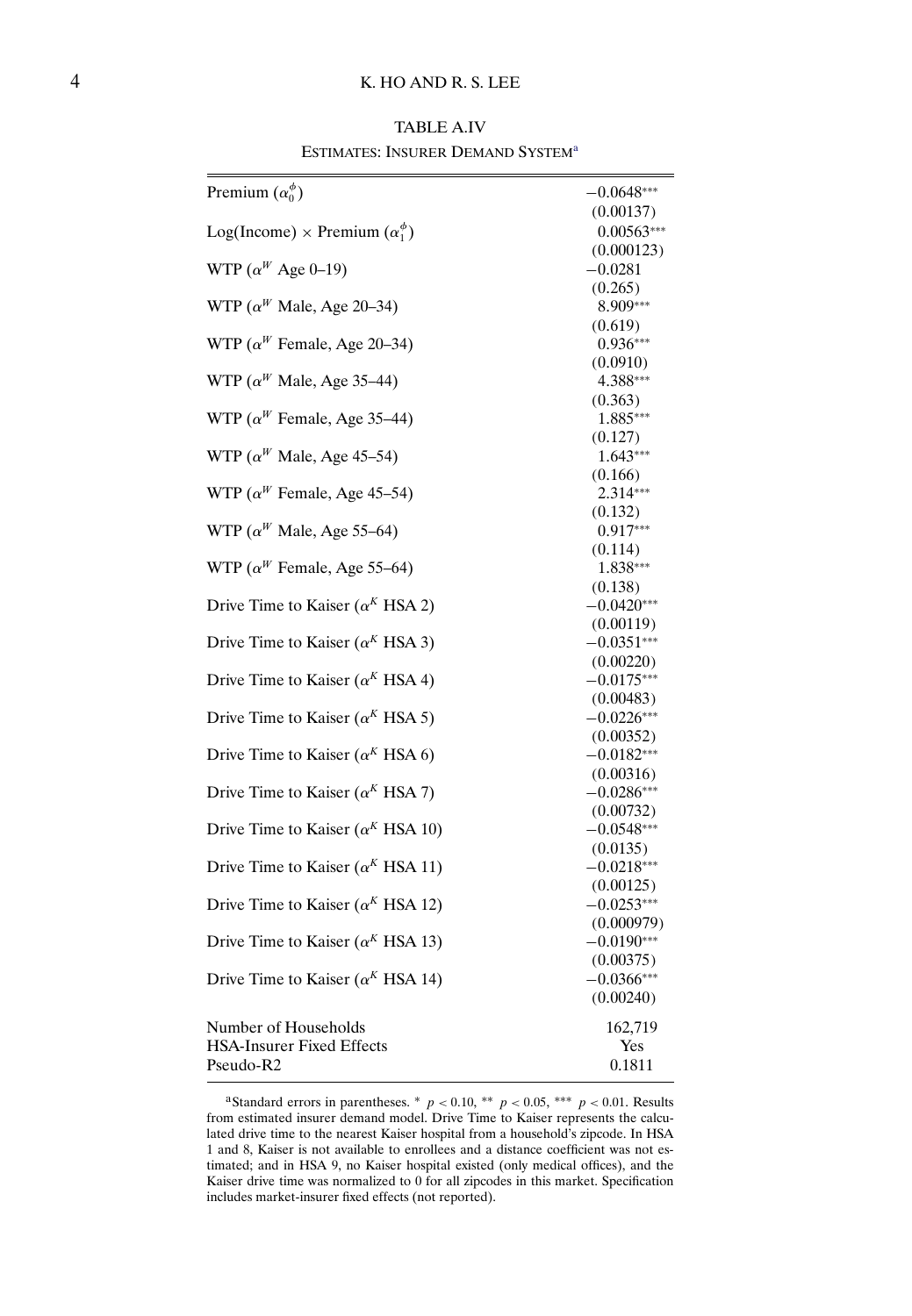## <span id="page-3-0"></span>4 K. HO AND R. S. LEE

TABLE A.IV ESTIMATES: INSURER DEMAND SYSTEM<sup>a</sup>

| Premium $(\alpha_0^{\phi})$                              | $-0.0648***$               |
|----------------------------------------------------------|----------------------------|
|                                                          | (0.00137)                  |
| Log(Income) $\times$ Premium $(\alpha_1^{\phi})$         | $0.00563***$<br>(0.000123) |
| WTP ( $\alpha^W$ Age 0-19)                               | $-0.0281$                  |
|                                                          | (0.265)                    |
| WTP ( $\alpha^W$ Male, Age 20–34)                        | 8.909***                   |
|                                                          | (0.619)                    |
| WTP ( $\alpha^W$ Female, Age 20–34)                      | $0.936***$                 |
| WTP ( $\alpha^W$ Male, Age 35–44)                        | (0.0910)<br>4.388***       |
|                                                          | (0.363)                    |
| WTP ( $\alpha^W$ Female, Age 35–44)                      | 1.885***                   |
|                                                          | (0.127)                    |
| WTP ( $\alpha^W$ Male, Age 45–54)                        | $1.643***$                 |
| WTP ( $\alpha^W$ Female, Age 45–54)                      | (0.166)<br>$2.314***$      |
|                                                          | (0.132)                    |
| WTP ( $\alpha^W$ Male, Age 55–64)                        | $0.917***$                 |
|                                                          | (0.114)                    |
| WTP ( $\alpha^W$ Female, Age 55–64)                      | 1.838***                   |
|                                                          | (0.138)                    |
| Drive Time to Kaiser ( $\alpha^{K}$ HSA 2)               | $-0.0420***$<br>(0.00119)  |
| Drive Time to Kaiser ( $\alpha^{K}$ HSA 3)               | $-0.0351***$               |
|                                                          | (0.00220)                  |
| Drive Time to Kaiser ( $\alpha^{K}$ HSA 4)               | $-0.0175***$               |
|                                                          | (0.00483)                  |
| Drive Time to Kaiser ( $\alpha^{K}$ HSA 5)               | $-0.0226***$               |
| Drive Time to Kaiser ( $\alpha^{K}$ HSA 6)               | (0.00352)<br>$-0.0182***$  |
|                                                          | (0.00316)                  |
| Drive Time to Kaiser ( $\alpha^{K}$ HSA 7)               | $-0.0286***$               |
|                                                          | (0.00732)                  |
| Drive Time to Kaiser ( $\alpha^{K}$ HSA 10)              | $-0.0548***$               |
| Drive Time to Kaiser ( $\alpha^{K}$ HSA 11)              | (0.0135)<br>$-0.0218***$   |
|                                                          | (0.00125)                  |
| Drive Time to Kaiser ( $\alpha^{K}$ HSA 12)              | $-0.0253***$               |
|                                                          | (0.000979)                 |
| Drive Time to Kaiser ( $\alpha^{K}$ HSA 13)              | $-0.0190***$               |
| Drive Time to Kaiser ( $\alpha^{K}$ HSA 14)              | (0.00375)<br>$-0.0366***$  |
|                                                          | (0.00240)                  |
|                                                          |                            |
| Number of Households<br><b>HSA-Insurer Fixed Effects</b> | 162,719                    |
| Pseudo-R2                                                | Yes<br>0.1811              |
|                                                          |                            |

aStandard errors in parentheses.  $*$   $p < 0.10$ ,  $**$   $p < 0.05$ ,  $***$   $p < 0.01$ . Results from estimated insurer demand model. Drive Time to Kaiser represents the calculated drive time to the nearest Kaiser hospital from a household's zipcode. In HSA 1 and 8, Kaiser is not available to enrollees and a distance coefficient was not estimated; and in HSA 9, no Kaiser hospital existed (only medical offices), and the Kaiser drive time was normalized to 0 for all zipcodes in this market. Specification includes market-insurer fixed effects (not reported).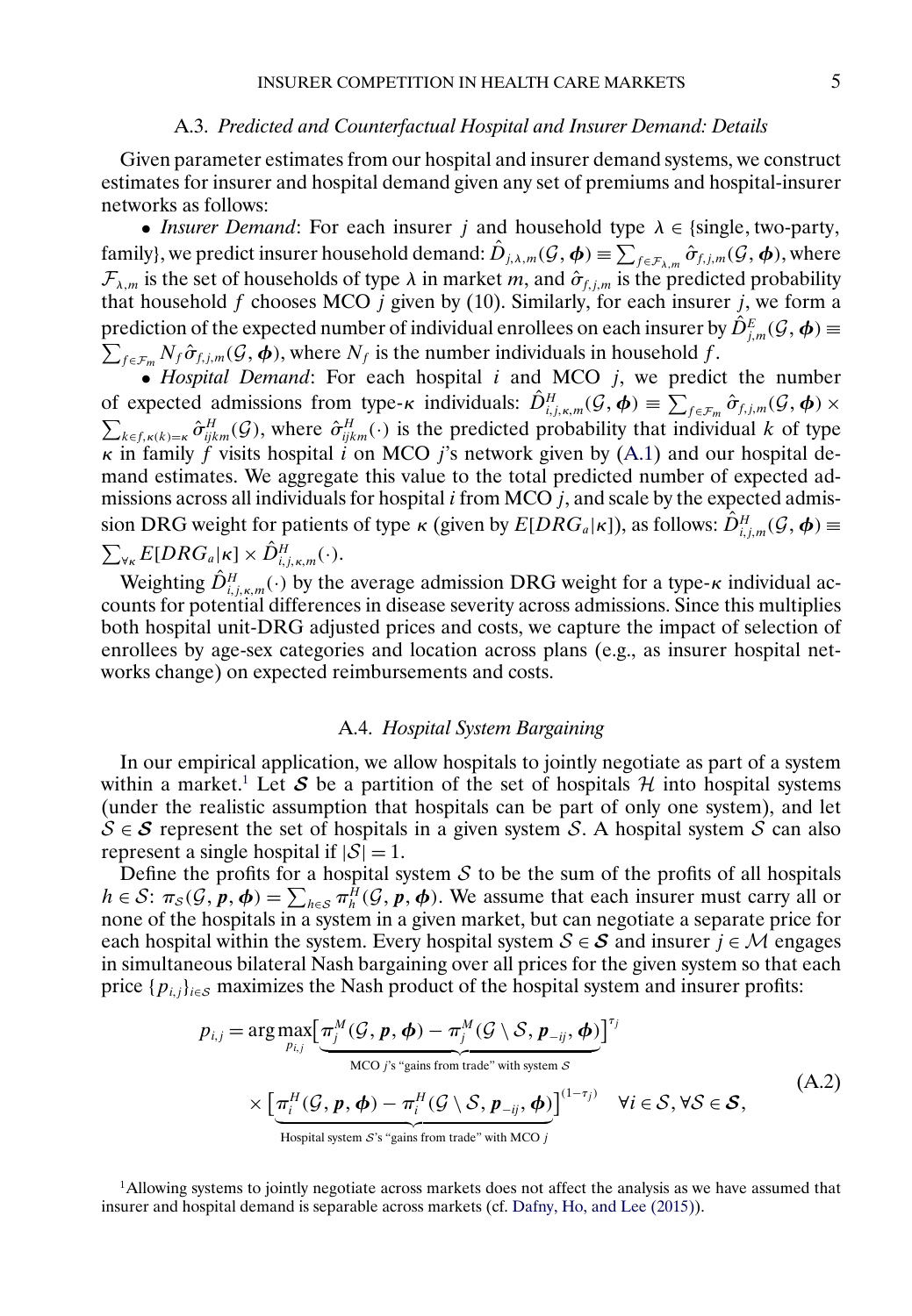#### A.3. *Predicted and Counterfactual Hospital and Insurer Demand: Details*

<span id="page-4-0"></span>Given parameter estimates from our hospital and insurer demand systems, we construct estimates for insurer and hospital demand given any set of premiums and hospital-insurer networks as follows:

• *Insurer Demand*: For each insurer j and household type  $\lambda \in \{\text{single}, \text{two-party},\}$ family}, we predict insurer household demand:  $\hat{D}_{j,\lambda,m}(\mathcal{G},\boldsymbol{\phi}) \equiv \sum_{f \in \mathcal{F}_{\lambda,m}} \hat{\sigma}_{f,j,m}(\mathcal{G},\boldsymbol{\phi})$ , where  $\mathcal{F}_{\lambda,m}$  is the set of households of type  $\lambda$  in market m, and  $\hat{\sigma}_{f,j,m}$  is the predicted probability that household f chooses MCO j given by (10). Similarly, for each insurer j, we form a prediction of the expected number of individual enrollees on each insurer by  $\hat{D}_{j,m}^E(\mathcal{G},\boldsymbol{\phi})$   $\equiv$  $\sum_{f \in \mathcal{F}_m} N_f \hat{\sigma}_{f,j,m}(\mathcal{G}, \boldsymbol{\phi})$ , where  $N_f$  is the number individuals in household f.

• *Hospital Demand*: For each hospital i and MCO j, we predict the number of expected admissions from type- $\kappa$  individuals:  $\hat{D}_{i,j,\kappa,m}^H(\mathcal{G},\boldsymbol{\phi}) \equiv \sum_{f \in \mathcal{F}_m} \hat{\sigma}_{f,j,m}(\mathcal{G},\boldsymbol{\phi}) \times$  $\sum_{k \in f, \kappa(k)=\kappa} \hat{\sigma}_{ijkm}^H(\mathcal{G})$ , where  $\hat{\sigma}_{ijkm}^H(\cdot)$  is the predicted probability that individual k of type  $\kappa$  in family f visits hospital i on MCO j's network given by [\(A.1\)](#page-0-0) and our hospital demand estimates. We aggregate this value to the total predicted number of expected admissions across all individuals for hospital  $i$  from MCO  $j$ , and scale by the expected admission DRG weight for patients of type  $\kappa$  (given by  $E[DRG_a|\kappa]$ ), as follows:  $\hat{D}^H_{i,j,m}(\mathcal{G}, \boldsymbol{\phi}) \equiv$  $\sum_{\forall \kappa}E[DRG_{a}|\kappa]\times \hat{D}^H_{i,j,\kappa,m}(\cdot).$ 

Weighting  $\hat{D}_{i,j,\kappa,m}^H(\cdot)$  by the average admission DRG weight for a type- $\kappa$  individual accounts for potential differences in disease severity across admissions. Since this multiplies both hospital unit-DRG adjusted prices and costs, we capture the impact of selection of enrollees by age-sex categories and location across plans (e.g., as insurer hospital networks change) on expected reimbursements and costs.

## A.4. *Hospital System Bargaining*

In our empirical application, we allow hospitals to jointly negotiate as part of a system within a market.<sup>1</sup> Let S be a partition of the set of hospitals  $H$  into hospital systems (under the realistic assumption that hospitals can be part of only one system), and let  $S \in S$  represent the set of hospitals in a given system S. A hospital system S can also represent a single hospital if  $|S| = 1$ .

Define the profits for a hospital system  $S$  to be the sum of the profits of all hospitals  $h \in S: \pi_S(G, p, \phi) = \sum_{h \in S} \pi_h^H(G, p, \phi)$ . We assume that each insurer must carry all or none of the hospitals in a system in a given market, but can negotiate a separate price for each hospital within the system. Every hospital system  $S \in S$  and insurer  $j \in M$  engages in simultaneous bilateral Nash bargaining over all prices for the given system so that each price  $\{p_{i,j}\}_{i\in\mathcal{S}}$  maximizes the Nash product of the hospital system and insurer profits:

$$
p_{i,j} = \arg \max_{p_{i,j}} \left[ \underbrace{\pi_j^M(\mathcal{G}, \mathbf{p}, \boldsymbol{\phi}) - \pi_j^M(\mathcal{G} \setminus \mathcal{S}, \mathbf{p}_{-ij}, \boldsymbol{\phi})}_{\text{MCO } j\text{'s "gains from trade" with system } \mathcal{S}} \right]^{ \tau_j} \times \left[ \underbrace{\pi_i^H(\mathcal{G}, \mathbf{p}, \boldsymbol{\phi}) - \pi_i^H(\mathcal{G} \setminus \mathcal{S}, \mathbf{p}_{-ij}, \boldsymbol{\phi})}_{\text{Hospital system } \mathcal{S} \text{'s "gains from trade" with MCO } j} \right]^{ (1-\tau_j) } \quad \forall i \in \mathcal{S}, \forall \mathcal{S} \in \mathcal{S}, \tag{A.2}
$$

1Allowing systems to jointly negotiate across markets does not affect the analysis as we have assumed that insurer and hospital demand is separable across markets (cf. [Dafny, Ho, and Lee \(2015\)\)](#page-9-0).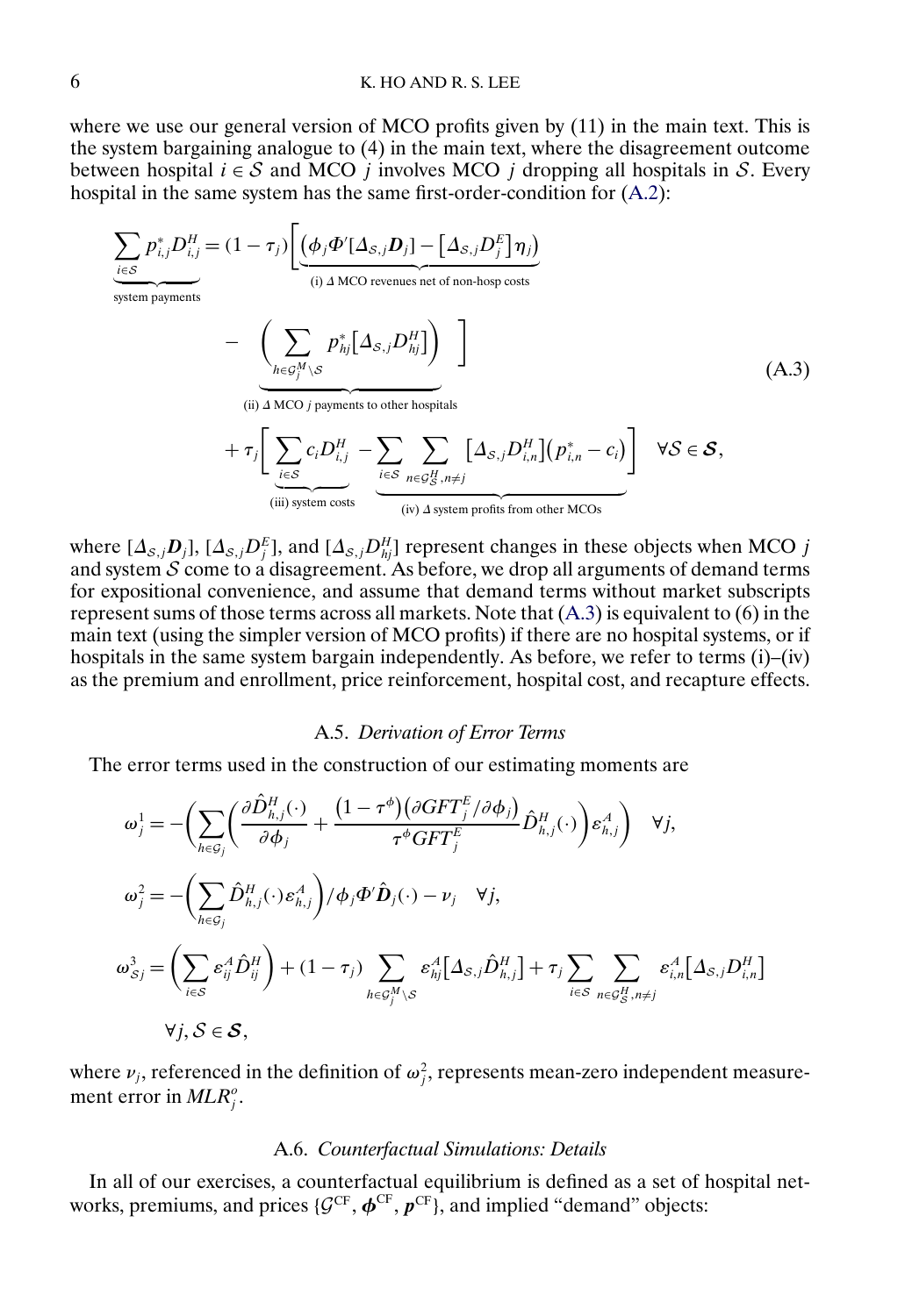<span id="page-5-0"></span>where we use our general version of MCO profits given by  $(11)$  in the main text. This is the system bargaining analogue to (4) in the main text, where the disagreement outcome between hospital  $i \in S$  and MCO j involves MCO j dropping all hospitals in S. Every hospital in the same system has the same first-order-condition for  $(A.2)$ :

$$
\sum_{i \in S} p_{i,j}^* D_{i,j}^H = (1 - \tau_j) \left[ \underbrace{(\phi_j \Phi'[\Delta_{S,j} D_j] - [\Delta_{S,j} D_j^E] \eta_j)}_{\text{(i) } \Delta \text{ MCO revenues net of non-hosp costs}} - \underbrace{\left(\sum_{h \in G_j^M \setminus S} p_{hj}^* [\Delta_{S,j} D_{hj}^H] \right)}_{\text{(ii) } \Delta \text{ MCO } j \text{ payments to other hospitals}} + \tau_j \left[ \underbrace{\sum_{i \in S} c_i D_{i,j}^H - \sum_{i \in S} \sum_{n \in G_S^H, n \neq j} [\Delta_{S,j} D_{i,n}^H] (p_{i,n}^* - c_i)}_{\text{(ii) } \Delta \text{ MCO } j \text{ payments to other hospitals}} \right] \forall S \in S,
$$
\n(A.3)

 $(iv)$   $\triangle$  system profits from other MCOs

where  $[\Delta_{s,j}D_j]$ ,  $[\Delta_{s,j}D_j^E]$ , and  $[\Delta_{s,j}D_{hj}^H]$  represent changes in these objects when MCO j and system  $S$  come to a disagreement. As before, we drop all arguments of demand terms for expositional convenience, and assume that demand terms without market subscripts represent sums of those terms across all markets. Note that (A.3) is equivalent to (6) in the main text (using the simpler version of MCO profits) if there are no hospital systems, or if hospitals in the same system bargain independently. As before, we refer to terms (i)–(iv) as the premium and enrollment, price reinforcement, hospital cost, and recapture effects.

## A.5. *Derivation of Error Terms*

The error terms used in the construction of our estimating moments are

 (iii) system costs

$$
\omega_j^1 = -\left(\sum_{h \in \mathcal{G}_j} \left(\frac{\partial \hat{D}_{h,j}^H(\cdot)}{\partial \phi_j} + \frac{(1 - \tau^{\phi})(\partial GFT_j^E/\partial \phi_j)}{\tau^{\phi}GFT_j^E}\hat{D}_{h,j}^H(\cdot)\right) \varepsilon_{h,j}^A\right) \quad \forall j,
$$
  

$$
\omega_j^2 = -\left(\sum_{h \in \mathcal{G}_j} \hat{D}_{h,j}^H(\cdot) \varepsilon_{h,j}^A\right) / \phi_j \Phi' \hat{D}_j(\cdot) - \nu_j \quad \forall j,
$$
  

$$
\omega_{Sj}^3 = \left(\sum_{i \in S} \varepsilon_{ij}^A \hat{D}_{ij}^H\right) + (1 - \tau_j) \sum_{h \in \mathcal{G}_j^M \setminus S} \varepsilon_{hj}^A [\Delta_{S,j} \hat{D}_{h,j}^H] + \tau_j \sum_{i \in S} \sum_{n \in \mathcal{G}_S^H, n \neq j} \varepsilon_{i,n}^A [\Delta_{S,j} D_{i,n}^H]
$$
  

$$
\forall j, S \in \mathcal{S},
$$

where  $\nu_j$ , referenced in the definition of  $\omega_j^2$ , represents mean-zero independent measurement error in  $MLR_j^o$ .

## A.6. *Counterfactual Simulations: Details*

In all of our exercises, a counterfactual equilibrium is defined as a set of hospital networks, premiums, and prices  $\{G^{CF}, \boldsymbol{\phi}^{CF}, \boldsymbol{p}^{CF}\}$ , and implied "demand" objects: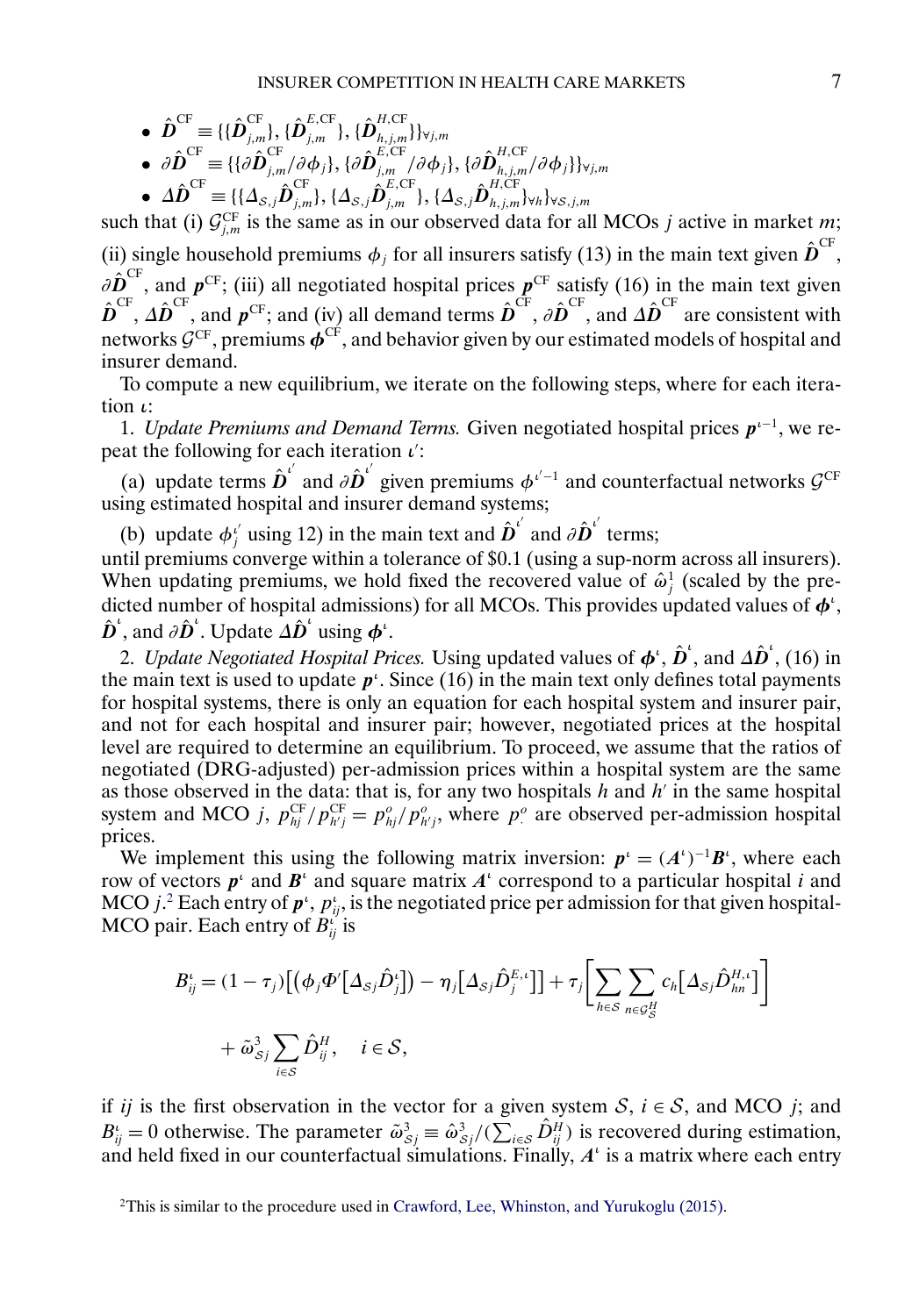- <span id="page-6-0"></span> $\hat{\bm{D}}^{\mathrm{CF}}\equiv\{ \{\hat{\bm{D}}_{j,m}^{\mathrm{CF}}\},\{\hat{\bm{D}}_{j,m}^{E,\mathrm{CF}}\},\{\hat{\bm{D}}_{h,j,m}^{H,\mathrm{CF}}\}\}_{\forall j,m}$
- $\bullet \,\,\partial {\hat {\bm D}}^{\rm CF} \equiv \{ \{ \partial {\hat {\bm D}}_{j,m}^{\rm CF}/\partial \phi_j \}, \{ \partial {\hat {\bm D}}_{j,m}^{E, \rm CF}/\partial \phi_j \}, \{ \partial {\hat {\bm D}}_{h,j,m}^{H, \rm CF}/\partial \phi_j \} \}_{\forall j,m}$
- $\bullet\;\;\Delta \hat{\bm{D}}^{\text{CF}}\equiv\{ \{\Delta_{\mathcal{S},j}\hat{\bm{D}}_{j,m}^{\text{CF}}\},\{\Delta_{\mathcal{S},j}\hat{\bm{D}}_{h,j,m}^{H,\text{CF}}\}_{\forall h}\}_{\forall \mathcal{S},j,m}$

such that (i)  $\mathcal{G}^{\text{CF}}_{j,m}$  is the same as in our observed data for all MCOs j active in market m; (ii) single household premiums  $\phi_j$  for all insurers satisfy (13) in the main text given  $\hat{\boldsymbol{D}}^{\text{CF}},$  $\partial \hat{\bm{D}}^{\text{CF}}$ , and  $\bm{p}^{\text{CF}}$ ; (iii) all negotiated hospital prices  $\bm{p}^{\text{CF}}$  satisfy (16) in the main text given  $\hat{\boldsymbol{D}}^{\text{CF}}, \Delta \hat{\boldsymbol{D}}^{\text{CF}},$  and  $\boldsymbol{p}^{\text{CF}}$ ; and  $(iv)$  all demand terms  $\hat{\boldsymbol{D}}^{\text{CF}}, \partial \hat{\boldsymbol{D}}^{\text{CF}},$  and  $\Delta \hat{\boldsymbol{D}}^{\text{CF}}$  are consistent with networks  $\mathcal{G}^{CF}$ , premiums  $\dot{\phi}^{CF}$ , and behavior given by our estimated models of hospital and insurer demand.

To compute a new equilibrium, we iterate on the following steps, where for each iteration  $\iota$ :

1. *Update Premiums and Demand Terms*. Given negotiated hospital prices  $p<sup>ι−1</sup>$ , we repeat the following for each iteration  $\iota$ :

(a) update terms  $\hat{\boldsymbol{D}}^{\iota'}$  and  $\partial \hat{\boldsymbol{D}}^{\iota'}$  given premiums  $\phi^{\iota'-1}$  and counterfactual networks  $\mathcal{G}^{CF}$ using estimated hospital and insurer demand systems;

(b) update  $\phi_j^i$  using 12) in the main text and  $\hat{\boldsymbol{D}}^{i'}$  and  $\partial \hat{\boldsymbol{D}}^{i'}$  terms;

until premiums converge within a tolerance of \$0.1 (using a sup-norm across all insurers). When updating premiums, we hold fixed the recovered value of  $\hat{\omega}_j^1$  (scaled by the predicted number of hospital admissions) for all MCOs. This provides updated values of  $\phi^{\iota}$ ,  $\hat{\boldsymbol{D}}^{\iota}$ , and  $\partial \hat{\boldsymbol{D}}^{\iota}$ . Update  $\Delta \hat{\boldsymbol{D}}^{\iota}$  using  $\boldsymbol{\phi}^{\iota}$ .

2. *Update Negotiated Hospital Prices*. Using updated values of  $\boldsymbol{\phi}^{\iota}$ ,  $\hat{\boldsymbol{D}}^{\iota}$ , and  $\Delta \hat{\boldsymbol{D}}^{\iota}$ , (16) in the main text is used to update  $p^{\iota}$ . Since (16) in the main text only defines total payments for hospital systems, there is only an equation for each hospital system and insurer pair, and not for each hospital and insurer pair; however, negotiated prices at the hospital level are required to determine an equilibrium. To proceed, we assume that the ratios of negotiated (DRG-adjusted) per-admission prices within a hospital system are the same as those observed in the data: that is, for any two hospitals  $h$  and  $h'$  in the same hospital system and MCO j,  $p_{hj}^{\text{CF}}/p_{h'j}^{\text{CF}} = p_{hj}^o/p_{h'j}^o$ , where  $p_j^o$  are observed per-admission hospital prices.

We implement this using the following matrix inversion:  $p^i = (A^i)^{-1}B^i$ , where each row of vectors  $p^{\iota}$  and  $B^{\iota}$  and square matrix  $A^{\iota}$  correspond to a particular hospital i and MCO *j*.<sup>2</sup> Each entry of  $p^t$ ,  $p^t_{ij}$ , is the negotiated price per admission for that given hospital-MCO pair. Each entry of  $B_{ij}^i$  is

$$
B_{ij}^{\iota} = (1 - \tau_j) \Big[ \big( \phi_j \Phi' \big[ \Delta_{\mathcal{S}j} \hat{D}_j^{\iota} \big] \big) - \eta_j \big[ \Delta_{\mathcal{S}j} \hat{D}_j^{F,\iota} \big] \Big] + \tau_j \Bigg[ \sum_{h \in \mathcal{S}} \sum_{n \in \mathcal{G}_{\mathcal{S}}^H} c_h \big[ \Delta_{\mathcal{S}j} \hat{D}_{hn}^{H,\iota} \big] \Bigg] + \tilde{\omega}_{\mathcal{S}j}^3 \sum_{i \in \mathcal{S}} \hat{D}_{ij}^H, \quad i \in \mathcal{S},
$$

if ij is the first observation in the vector for a given system  $S$ ,  $i \in S$ , and MCO j; and  $B_{ij}^i = 0$  otherwise. The parameter  $\tilde{\omega}_{S_j}^3 \equiv \hat{\omega}_{S_j}^3 / (\sum_{i \in S} \hat{D}_{ij}^H)$  is recovered during estimation, and held fixed in our counterfactual simulations. Finally,  $A<sup>i</sup>$  is a matrix where each entry

<sup>2</sup>This is similar to the procedure used in [Crawford, Lee, Whinston, and Yurukoglu \(2015\).](#page-9-0)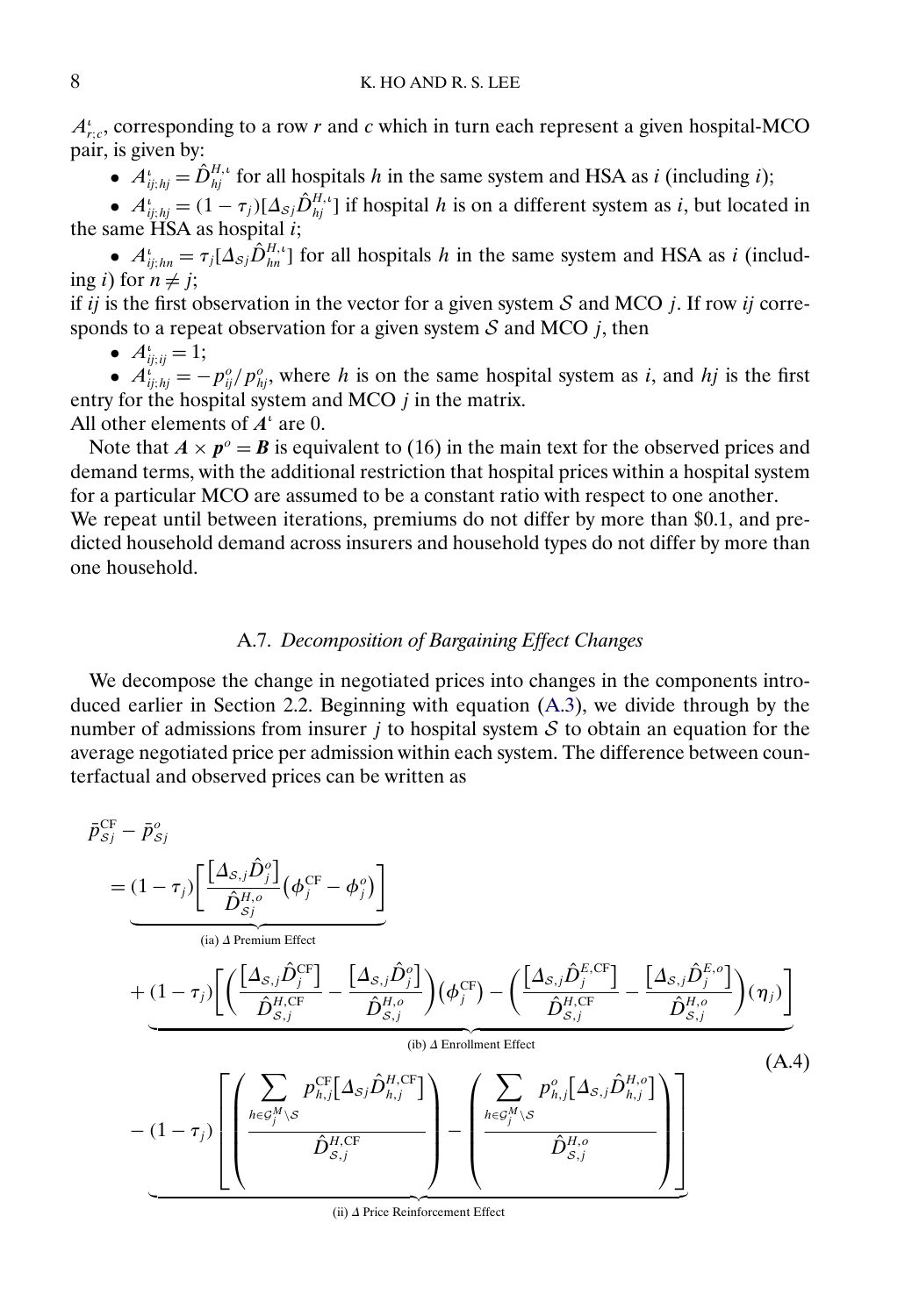<span id="page-7-0"></span> $A_{r,c}^i$ , corresponding to a row r and c which in turn each represent a given hospital-MCO pair, is given by:

•  $A_{ij;hj}^i = \hat{D}_{hj}^{H,\iota}$  for all hospitals h in the same system and HSA as i (including i);

•  $A_{ij;hj}^i = (1 - \tau_j)[\Delta_{sj}\hat{D}_{hj}^{H,i}]$  if hospital h is on a different system as i, but located in the same  $\overline{H}SA$  as hospital i;

•  $A_{ij;hn}^i = \tau_j[\Delta_{\mathcal{S}j}\hat{D}_{hn}^{H,\iota}]$  for all hospitals h in the same system and HSA as i (including *i*) for  $n \neq j$ ;

if ij is the first observation in the vector for a given system  $S$  and MCO j. If row ij corresponds to a repeat observation for a given system  $S$  and MCO  $j$ , then

•  $A^{\iota}_{ij;ij} = 1;$ 

•  $A_{ij;hj}^i = -p_{ij}^o/p_{hj}^o$ , where h is on the same hospital system as i, and hj is the first entry for the hospital system and MCO  $j$  in the matrix.

All other elements of  $A^{\iota}$  are 0.

Note that  $A \times p^{\circ} = B$  is equivalent to (16) in the main text for the observed prices and demand terms, with the additional restriction that hospital prices within a hospital system for a particular MCO are assumed to be a constant ratio with respect to one another.

We repeat until between iterations, premiums do not differ by more than \$0.1, and predicted household demand across insurers and household types do not differ by more than one household.

# A.7. *Decomposition of Bargaining Effect Changes*

We decompose the change in negotiated prices into changes in the components introduced earlier in Section 2.2. Beginning with equation [\(A.3\)](#page-5-0), we divide through by the number of admissions from insurer  $j$  to hospital system  $S$  to obtain an equation for the average negotiated price per admission within each system. The difference between counterfactual and observed prices can be written as

$$
\bar{p}_{sj}^{\text{CF}} - \bar{p}_{sj}^o
$$
\n
$$
= (1 - \tau_j) \left[ \frac{\left[ \Delta_{s,j} \hat{D}_j^o \right] \left( \phi_j^{\text{CF}} - \phi_j^o \right)}{\hat{D}_{sj}^H} \right]
$$
\n
$$
+ (1 - \tau_j) \left[ \left( \frac{\left[ \Delta_{s,j} \hat{D}_j^{\text{CF}} \right] \right] - \left[ \Delta_{s,j} \hat{D}_j^o \right]}{\hat{D}_{s,j}^{H, \text{CF}}} \right) \left( \phi_j^{\text{CF}} \right) - \left( \frac{\left[ \Delta_{s,j} \hat{D}_j^{\text{E,CF}} \right] - \left[ \Delta_{s,j} \hat{D}_j^{\text{E,OF}} \right]}{\hat{D}_{s,j}^{H, \text{CF}}} \right) (\eta_j) \right]
$$
\n
$$
- (1 - \tau_j) \left[ \left( \frac{\sum_{h \in \mathcal{G}_j^M} p_{h,j}^{\text{CF}} \left[ \Delta_{s,j} \hat{D}_{h,j}^{\text{H,CF}} \right]}{\hat{D}_{s,j}^{H, \text{CF}}} \right) - \left( \frac{\sum_{h \in \mathcal{G}_j^M \backslash S} p_{h,j}^o \left[ \Delta_{s,j} \hat{D}_{h,j}^{\text{H,OF}} \right]}{\hat{D}_{s,j}^{H, \text{CF}}} \right) \right]
$$
\n(A.4)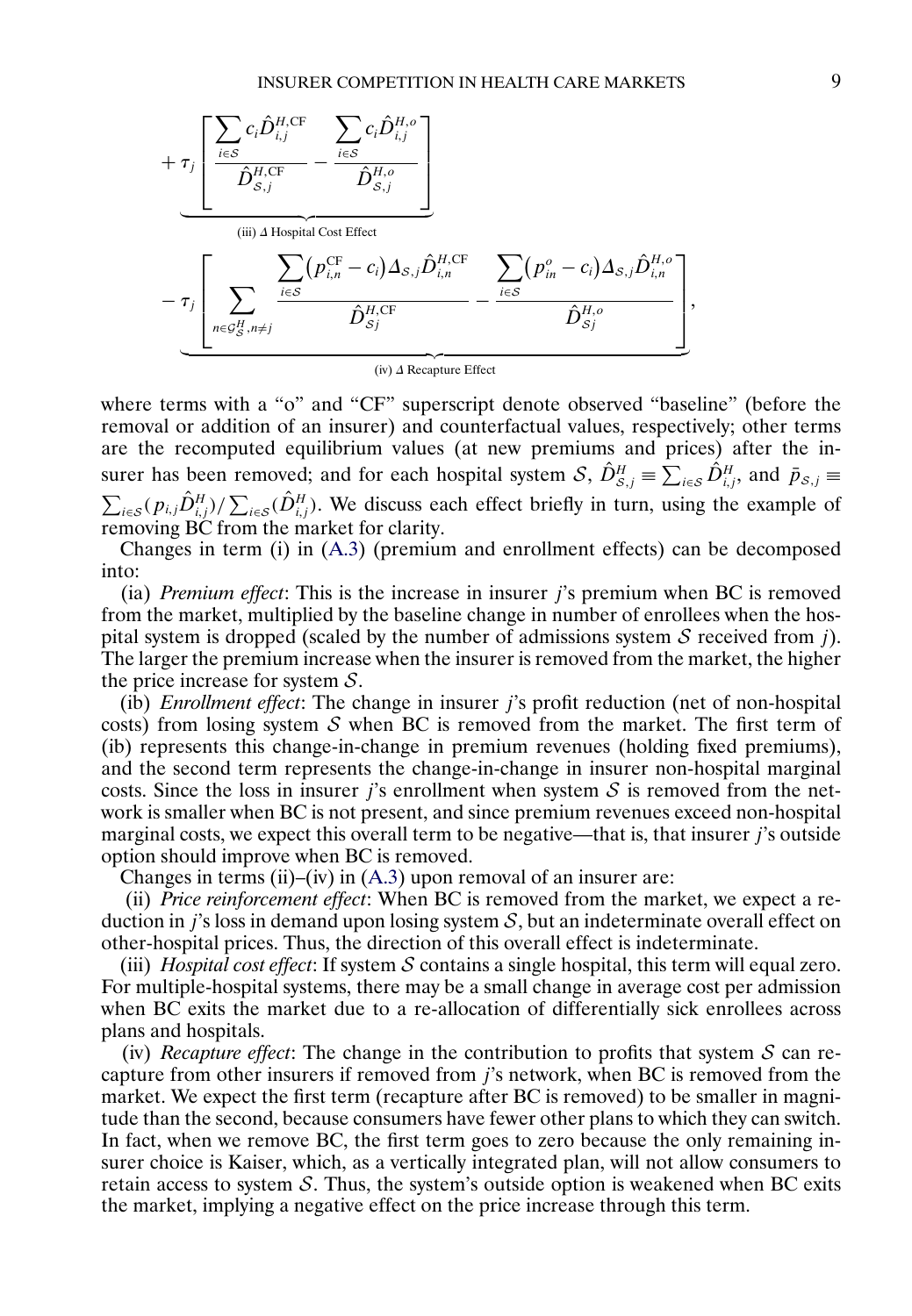

where terms with a "o" and "CF" superscript denote observed "baseline" (before the removal or addition of an insurer) and counterfactual values, respectively; other terms are the recomputed equilibrium values (at new premiums and prices) after the insurer has been removed; and for each hospital system S,  $\hat{D}_{s,j}^H \equiv \sum_{i \in S} \hat{D}_{i,j}^H$ , and  $\bar{p}_{s,j} \equiv$  $\sum_{i\in\mathcal{S}}(p_{i,j}\hat{D}_{i,j}^H)/\sum_{i\in\mathcal{S}}(\hat{D}_{i,j}^H)$ . We discuss each effect briefly in turn, using the example of removing BC from the market for clarity.

Changes in term (i) in [\(A.3\)](#page-5-0) (premium and enrollment effects) can be decomposed into:

(ia) *Premium effect*: This is the increase in insurer j's premium when BC is removed from the market, multiplied by the baseline change in number of enrollees when the hospital system is dropped (scaled by the number of admissions system  $S$  received from j). The larger the premium increase when the insurer is removed from the market, the higher the price increase for system  $S$ .

(ib) *Enrollment effect*: The change in insurer j's profit reduction (net of non-hospital costs) from losing system  $S$  when BC is removed from the market. The first term of (ib) represents this change-in-change in premium revenues (holding fixed premiums), and the second term represents the change-in-change in insurer non-hospital marginal costs. Since the loss in insurer j's enrollment when system  $S$  is removed from the network is smaller when BC is not present, and since premium revenues exceed non-hospital marginal costs, we expect this overall term to be negative—that is, that insurer  $j$ 's outside option should improve when BC is removed.

Changes in terms (ii)–(iv) in  $(A.3)$  upon removal of an insurer are:

(ii) *Price reinforcement effect*: When BC is removed from the market, we expect a reduction in j's loss in demand upon losing system  $S$ , but an indeterminate overall effect on other-hospital prices. Thus, the direction of this overall effect is indeterminate.

(iii) *Hospital cost effect*: If system  $S$  contains a single hospital, this term will equal zero. For multiple-hospital systems, there may be a small change in average cost per admission when BC exits the market due to a re-allocation of differentially sick enrollees across plans and hospitals.

(iv) *Recapture effect*: The change in the contribution to profits that system  $S$  can recapture from other insurers if removed from j's network, when BC is removed from the market. We expect the first term (recapture after BC is removed) to be smaller in magnitude than the second, because consumers have fewer other plans to which they can switch. In fact, when we remove BC, the first term goes to zero because the only remaining insurer choice is Kaiser, which, as a vertically integrated plan, will not allow consumers to retain access to system  $S$ . Thus, the system's outside option is weakened when BC exits the market, implying a negative effect on the price increase through this term.